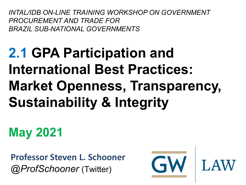*INTAL/IDB ON-LINE TRAINING WORKSHOP ON GOVERNMENT PROCUREMENT AND TRADE FOR BRAZIL SUB-NATIONAL GOVERNMENTS*

## **2.1 GPA Participation and International Best Practices: Market Openness, Transparency, Sustainability & Integrity**

**May 2021**

**Professor Steven L. Schooner** *@ProfSchooner* (Twitter)

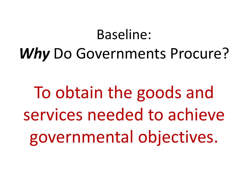### Baseline:

## *Why* Do Governments Procure?

To obtain the goods and services needed to achieve governmental objectives.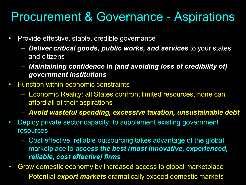#### Procurement & Governance - Aspirations

- Provide effective, stable, credible governance
	- *Deliver critical goods, public works, and services* to your states and citizens
	- *Maintaining confidence in (and avoiding loss of credibility of) government institutions*
- Function within economic constraints
	- Economic Reality: all States confront limited resources, none can afford all of their aspirations
	- *Avoid wasteful spending, excessive taxation, unsustainable debt*
- Deploy private sector capacity to supplement existing government resources
	- Cost effective, reliable outsourcing takes advantage of the global marketplace to *access the best (most innovative, experienced, reliable, cost effective) firms*
- Grow domestic economy by increased access to global marketplace
	- Potential *export markets* dramatically exceed domestic markets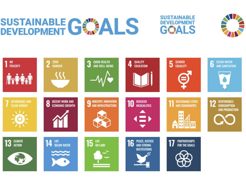# SUSTAINABLE GE ALS





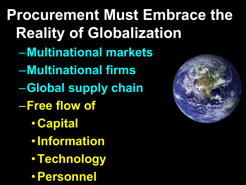**Procurement Must Embrace the Reality of Globalization** –**Multinational markets** –**Multinational firms** –**Global supply chain** –**Free flow of** • **Capital** •**Information** •**Technology** •**Personnel**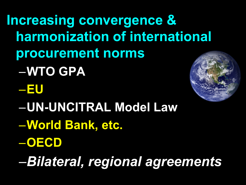**Increasing convergence & harmonization of international procurement norms** –**WTO GPA** –**EU** –**UN-UNCITRAL Model Law**

–**World Bank, etc.**

–**OECD**

–*Bilateral, regional agreements*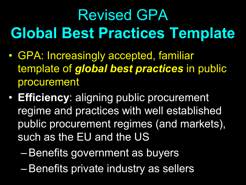## Revised GPA **Global Best Practices Template**

- GPA: Increasingly accepted, familiar template of *global best practices* in public procurement
- **Efficiency**: aligning public procurement regime and practices with well established public procurement regimes (and markets), such as the EU and the US
	- –Benefits government as buyers
	- –Benefits private industry as sellers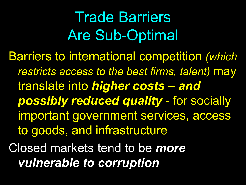Trade Barriers Are Sub-Optimal Barriers to international competition *(which restricts access to the best firms, talent)* may translate into *higher costs – and possibly reduced quality* - for socially important government services, access to goods, and infrastructure Closed markets tend to be *more vulnerable to corruption*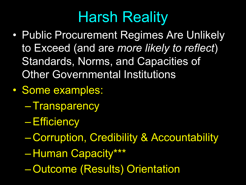## Harsh Reality

- Public Procurement Regimes Are Unlikely to Exceed (and are *more likely to reflect*) Standards, Norms, and Capacities of Other Governmental Institutions
- Some examples:
	- –Transparency
	- –Efficiency
	- Corruption, Credibility & Accountability
	- Human Capacity\*\*\*
	- –Outcome (Results) Orientation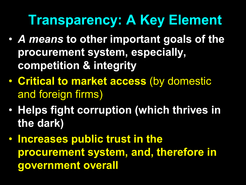## **Transparency: A Key Element**

- *A means* **to other important goals of the procurement system, especially, competition & integrity**
- **Critical to market access** (by domestic and foreign firms)
- **Helps fight corruption (which thrives in the dark)**
- **Increases public trust in the procurement system, and, therefore in government overall**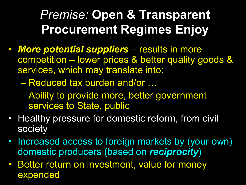### *Premise:* **Open & Transparent Procurement Regimes Enjoy**

- *More potential suppliers*  results in more competition – lower prices & better quality goods & services, which may translate into:
	- Reduced tax burden and/or …
	- Ability to provide more, better government services to State, public
- Healthy pressure for domestic reform, from civil society
- Increased access to foreign markets by (your own) domestic producers (based on *reciprocity*)
- Better return on investment, value for money expended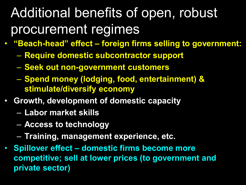## Additional benefits of open, robust procurement regimes

- **"Beach-head" effect – foreign firms selling to government:**
	- **Require domestic subcontractor support**
	- **Seek out non-government customers**
	- **Spend money (lodging, food, entertainment) & stimulate/diversify economy**
- **Growth, development of domestic capacity**
	- **Labor market skills**
	- **Access to technology**
	- **Training, management experience, etc.**
- **Spillover effect – domestic firms become more competitive; sell at lower prices (to government and private sector)**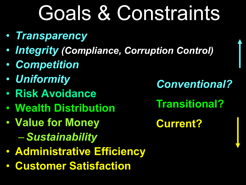## Goals & Constraints

- *Transparency*
- *Integrity (Compliance, Corruption Control)*
- *Competition*
- *Uniformity*
- **Risk Avoidance**
- **Wealth Distribution**
- **Value for Money** –*Sustainability*
- **Administrative Efficiency**
- **Customer Satisfaction**

*Conventional?* **Transitional? Current?**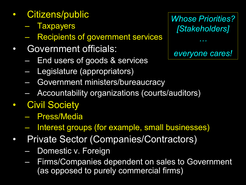- Citizens/public
	- Taxpayers
	- Recipients of government services
- Government officials:
	- End users of goods & services
	- Legislature (appropriators)
	- Government ministers/bureaucracy
	- Accountability organizations (courts/auditors)
- **Civil Society** 
	- Press/Media
	- Interest groups (for example, small businesses)
- Private Sector (Companies/Contractors)
	- Domestic v. Foreign
	- Firms/Companies dependent on sales to Government (as opposed to purely commercial firms)

*Whose Priorities? [Stakeholders] everyone cares!*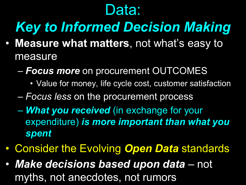## Data:

## *Key to Informed Decision Making*

- **Measure what matters**, not what's easy to measure
	- *Focus more* on procurement OUTCOMES
		- Value for money, life cycle cost, customer satisfaction
	- *Focus less* on the procurement process
	- *What you received* (in exchange for your expenditure) *is more important than what you spent*
- Consider the Evolving *Open Data* standards
- *Make decisions based upon data*  not myths, not anecdotes, not rumors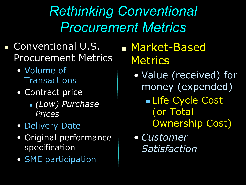*Rethinking Conventional Procurement Metrics*

#### **Conventional U.S.** Procurement Metrics

- Volume of **Transactions**
- Contract price
	- *(Low) Purchase Prices*
- Delivery Date
- Original performance specification
- SME participation

**Market-Based Metrics** 

- Value (received) for money (expended)
	- **Life Cycle Cost** (or Total Ownership Cost)
- *Customer Satisfaction*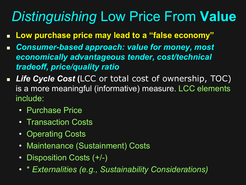## *Distinguishing* Low Price From **Value**

- **Low purchase price may lead to a "false economy"**
- *Consumer-based approach: value for money, most economically advantageous tender, cost/technical tradeoff, price/quality ratio*
- *Life Cycle Cost* **(**LCC or total cost of ownership, TOC) is a more meaningful (informative) measure. LCC elements include:
	- Purchase Price
	- Transaction Costs
	- Operating Costs
	- Maintenance (Sustainment) Costs
	- Disposition Costs (+/-)
	- \* *Externalities (e.g., Sustainability Considerations)*